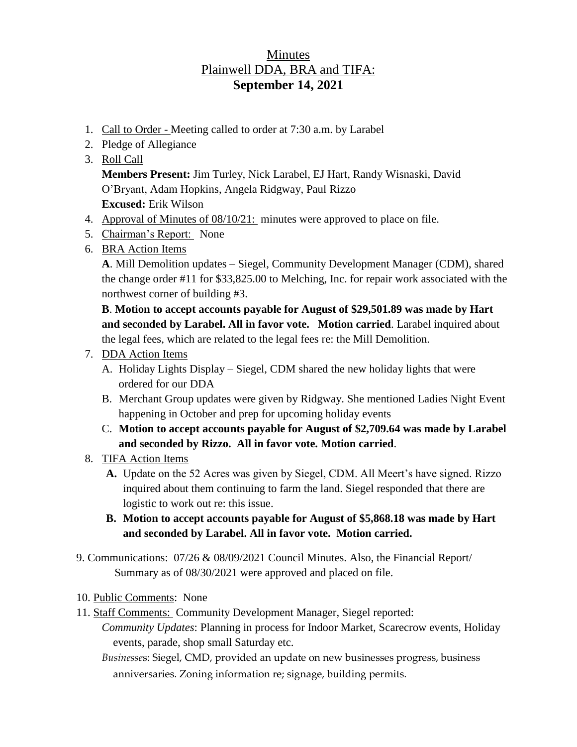## **Minutes** Plainwell DDA, BRA and TIFA: **September 14, 2021**

- 1. Call to Order Meeting called to order at 7:30 a.m. by Larabel
- 2. Pledge of Allegiance
- 3. Roll Call

**Members Present:** Jim Turley, Nick Larabel, EJ Hart, Randy Wisnaski, David O'Bryant, Adam Hopkins, Angela Ridgway, Paul Rizzo **Excused:** Erik Wilson

- 4. Approval of Minutes of 08/10/21: minutes were approved to place on file.
- 5. Chairman's Report: None
- 6. BRA Action Items

**A**. Mill Demolition updates – Siegel, Community Development Manager (CDM), shared the change order #11 for \$33,825.00 to Melching, Inc. for repair work associated with the northwest corner of building #3.

**B**. **Motion to accept accounts payable for August of \$29,501.89 was made by Hart and seconded by Larabel. All in favor vote. Motion carried**. Larabel inquired about the legal fees, which are related to the legal fees re: the Mill Demolition.

- 7. DDA Action Items
	- A. Holiday Lights Display Siegel, CDM shared the new holiday lights that were ordered for our DDA
	- B. Merchant Group updates were given by Ridgway. She mentioned Ladies Night Event happening in October and prep for upcoming holiday events
	- C. **Motion to accept accounts payable for August of \$2,709.64 was made by Larabel and seconded by Rizzo. All in favor vote. Motion carried**.
- 8. TIFA Action Items
	- **A.** Update on the 52 Acres was given by Siegel, CDM. All Meert's have signed. Rizzo inquired about them continuing to farm the land. Siegel responded that there are logistic to work out re: this issue.
	- **B. Motion to accept accounts payable for August of \$5,868.18 was made by Hart and seconded by Larabel. All in favor vote. Motion carried.**
- 9. Communications: 07/26 & 08/09/2021 Council Minutes. Also, the Financial Report/ Summary as of 08/30/2021 were approved and placed on file.
- 10. Public Comments: None
- 11. Staff Comments: Community Development Manager, Siegel reported:
	- *Community Updates*: Planning in process for Indoor Market, Scarecrow events, Holiday events, parade, shop small Saturday etc.
		- *Businesse*s: Siegel, CMD, provided an update on new businesses progress, business anniversaries. Zoning information re; signage, building permits.